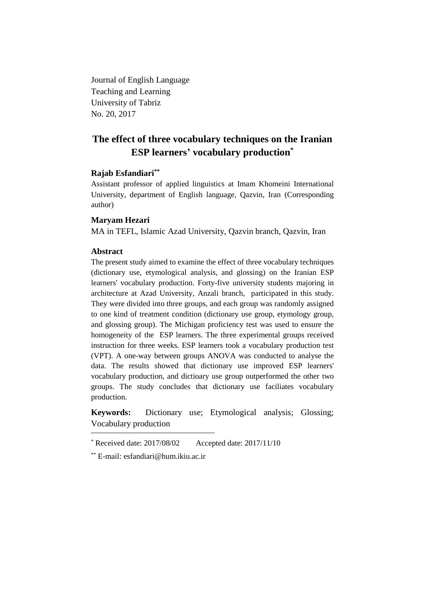Journal of English Language Teaching and Learning University of Tabriz No. 20, 2017

# **The effect of three vocabulary techniques on the Iranian ESP learners' vocabulary production\***

## **Rajab Esfandiari\*\***

Assistant professor of applied linguistics at Imam Khomeini International University, department of English language, Qazvin, Iran (Corresponding author)

# **Maryam Hezari**

MA in TEFL, Islamic Azad University, Qazvin branch, Qazvin, Iran

# **Abstract**

The present study aimed to examine the effect of three vocabulary techniques (dictionary use, etymological analysis, and glossing) on the Iranian ESP learners' vocabulary production. Forty-five university students majoring in architecture at Azad University, Anzali branch, participated in this study. They were divided into three groups, and each group was randomly assigned to one kind of treatment condition (dictionary use group, etymology group, and glossing group). The Michigan proficiency test was used to ensure the homogeneity of the ESP learners. The three experimental groups received instruction for three weeks. ESP learners took a vocabulary production test (VPT). A one-way between groups ANOVA was conducted to analyse the data. The results showed that dictionary use improved ESP learners' vocabulary production, and dictioary use group outperformed the other two groups. The study concludes that dictionary use faciliates vocabulary production.

**Keywords:** Dictionary use; Etymological analysis; Glossing; Vocabulary production

<sup>\*</sup> Received date: 2017/08/02 Accepted date: 2017/11/10

<sup>\*\*</sup> E-mail: [esfandiari@hum.ikiu.ac.ir](mailto:esfandiari@hum.ikiu.ac.ir)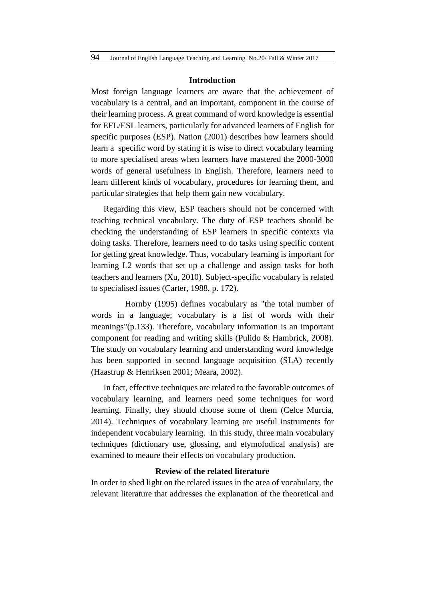#### **Introduction**

Most foreign language learners are aware that the achievement of vocabulary is a central, and an important, component in the course of their learning process. A great command of word knowledge is essential for EFL/ESL learners, particularly for advanced learners of English for specific purposes (ESP). Nation (2001) describes how learners should learn a specific word by stating it is wise to direct vocabulary learning to more specialised areas when learners have mastered the 2000-3000 words of general usefulness in English. Therefore, learners need to learn different kinds of vocabulary, procedures for learning them, and particular strategies that help them gain new vocabulary.

Regarding this view, ESP teachers should not be concerned with teaching technical vocabulary. The duty of ESP teachers should be checking the understanding of ESP learners in specific contexts via doing tasks. Therefore, learners need to do tasks using specific content for getting great knowledge. Thus, vocabulary learning is important for learning L2 words that set up a challenge and assign tasks for both teachers and learners (Xu, 2010). Subject-specific vocabulary is related to specialised issues (Carter, 1988, p. 172).

 Hornby (1995) defines vocabulary as "the total number of words in a language; vocabulary is a list of words with their meanings"(p.133). Therefore, vocabulary information is an important component for reading and writing skills (Pulido & Hambrick, 2008). The study on vocabulary learning and understanding word knowledge has been supported in second language acquisition (SLA) recently (Haastrup & Henriksen 2001; Meara, 2002).

In fact, effective techniques are related to the favorable outcomes of vocabulary learning, and learners need some techniques for word learning. Finally, they should choose some of them (Celce Murcia, 2014). Techniques of vocabulary learning are useful instruments for independent vocabulary learning. In this study, three main vocabulary techniques (dictionary use, glossing, and etymolodical analysis) are examined to meaure their effects on vocabulary production.

#### **Review of the related literature**

In order to shed light on the related issues in the area of vocabulary, the relevant literature that addresses the explanation of the theoretical and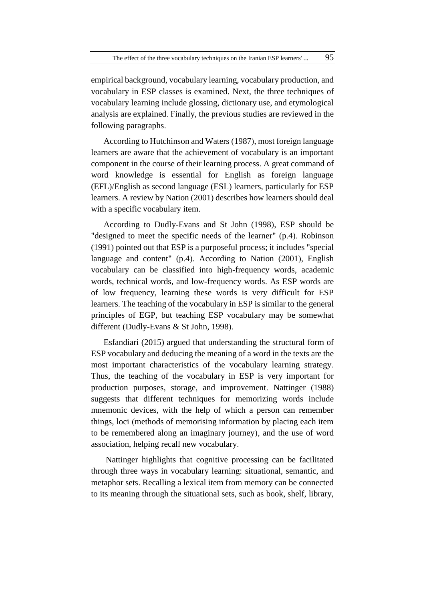empirical background, vocabulary learning, vocabulary production, and vocabulary in ESP classes is examined. Next, the three techniques of vocabulary learning include glossing, dictionary use, and etymological analysis are explained. Finally, the previous studies are reviewed in the following paragraphs.

According to Hutchinson and Waters (1987), most foreign language learners are aware that the achievement of vocabulary is an important component in the course of their learning process. A great command of word knowledge is essential for English as foreign language (EFL)/English as second language (ESL) learners, particularly for ESP learners. A review by Nation (2001) describes how learners should deal with a specific vocabulary item.

According to Dudly-Evans and St John (1998), ESP should be "designed to meet the specific needs of the learner" (p.4). Robinson (1991) pointed out that ESP is a purposeful process; it includes "special language and content" (p.4). According to Nation (2001), English vocabulary can be classified into high-frequency words, academic words, technical words, and low-frequency words. As ESP words are of low frequency, learning these words is very difficult for ESP learners. The teaching of the vocabulary in ESP is similar to the general principles of EGP, but teaching ESP vocabulary may be somewhat different (Dudly-Evans & St John, 1998).

Esfandiari (2015) argued that understanding the structural form of ESP vocabulary and deducing the meaning of a word in the texts are the most important characteristics of the vocabulary learning strategy. Thus, the teaching of the vocabulary in ESP is very important for production purposes, storage, and improvement. Nattinger (1988) suggests that different techniques for memorizing words include mnemonic devices, with the help of which a person can remember things, loci (methods of memorising information by placing each item to be remembered along an imaginary journey), and the use of word association, helping recall new vocabulary.

Nattinger highlights that cognitive processing can be facilitated through three ways in vocabulary learning: situational, semantic, and metaphor sets. Recalling a lexical item from memory can be connected to its meaning through the situational sets, such as book, shelf, library,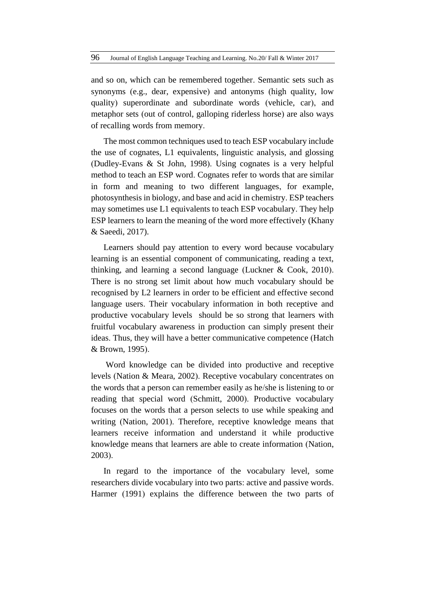and so on, which can be remembered together. Semantic sets such as synonyms (e.g., dear, expensive) and antonyms (high quality, low quality) superordinate and subordinate words (vehicle, car), and metaphor sets (out of control, galloping riderless horse) are also ways of recalling words from memory.

The most common techniques used to teach ESP vocabulary include the use of cognates, L1 equivalents, linguistic analysis, and glossing (Dudley-Evans & St John, 1998). Using cognates is a very helpful method to teach an ESP word. Cognates refer to words that are similar in form and meaning to two different languages, for example, photosynthesis in biology, and base and acid in chemistry. ESP teachers may sometimes use L1 equivalents to teach ESP vocabulary. They help ESP learners to learn the meaning of the word more effectively (Khany & Saeedi, 2017).

Learners should pay attention to every word because vocabulary learning is an essential component of communicating, reading a text, thinking, and learning a second language (Luckner & Cook, 2010). There is no strong set limit about how much vocabulary should be recognised by L2 learners in order to be efficient and effective second language users. Their vocabulary information in both receptive and productive vocabulary levels should be so strong that learners with fruitful vocabulary awareness in production can simply present their ideas. Thus, they will have a better communicative competence (Hatch & Brown, 1995).

Word knowledge can be divided into productive and receptive levels (Nation & Meara, 2002). Receptive vocabulary concentrates on the words that a person can remember easily as he/she is listening to or reading that special word (Schmitt, 2000). Productive vocabulary focuses on the words that a person selects to use while speaking and writing (Nation, 2001). Therefore, receptive knowledge means that learners receive information and understand it while productive knowledge means that learners are able to create information (Nation, 2003).

In regard to the importance of the vocabulary level, some researchers divide vocabulary into two parts: active and passive words. Harmer (1991) explains the difference between the two parts of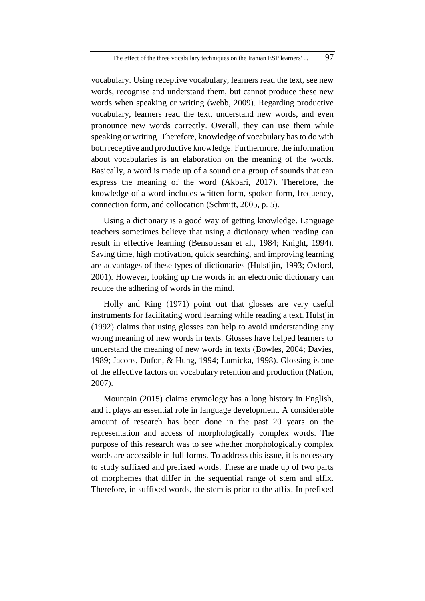vocabulary. Using receptive vocabulary, learners read the text, see new words, recognise and understand them, but cannot produce these new words when speaking or writing (webb, 2009). Regarding productive vocabulary, learners read the text, understand new words, and even pronounce new words correctly. Overall, they can use them while speaking or writing. Therefore, knowledge of vocabulary has to do with both receptive and productive knowledge. Furthermore, the information about vocabularies is an elaboration on the meaning of the words. Basically, a word is made up of a sound or a group of sounds that can express the meaning of the word (Akbari, 2017). Therefore, the knowledge of a word includes written form, spoken form, frequency, connection form, and collocation (Schmitt, 2005, p. 5).

Using a dictionary is a good way of getting knowledge. Language teachers sometimes believe that using a dictionary when reading can result in effective learning (Bensoussan et al., 1984; Knight, 1994). Saving time, high motivation, quick searching, and improving learning are advantages of these types of dictionaries (Hulstijin, 1993; Oxford, 2001). However, looking up the words in an electronic dictionary can reduce the adhering of words in the mind.

Holly and King (1971) point out that glosses are very useful instruments for facilitating word learning while reading a text. Hulstjin (1992) claims that using glosses can help to avoid understanding any wrong meaning of new words in texts. Glosses have helped learners to understand the meaning of new words in texts (Bowles, 2004; Davies, 1989; Jacobs, Dufon, & Hung, 1994; Lumicka, 1998). Glossing is one of the effective factors on vocabulary retention and production (Nation, 2007).

Mountain (2015) claims etymology has a long history in English, and it plays an essential role in language development. A considerable amount of research has been done in the past 20 years on the representation and access of morphologically complex words. The purpose of this research was to see whether morphologically complex words are accessible in full forms. To address this issue, it is necessary to study suffixed and prefixed words. These are made up of two parts of morphemes that differ in the sequential range of stem and affix. Therefore, in suffixed words, the stem is prior to the affix. In prefixed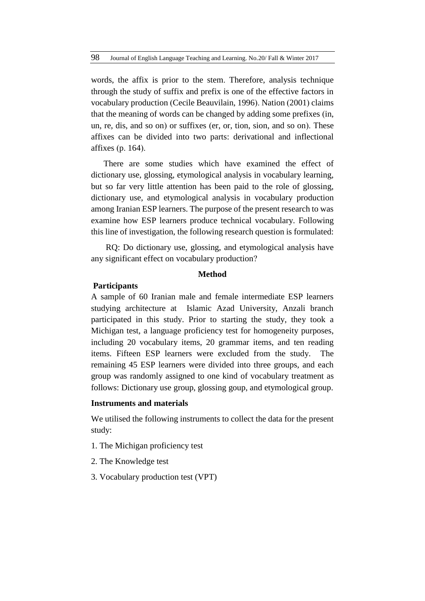words, the affix is prior to the stem. Therefore, analysis technique through the study of suffix and prefix is one of the effective factors in vocabulary production (Cecile Beauvilain, 1996). Nation (2001) claims that the meaning of words can be changed by adding some prefixes (in, un, re, dis, and so on) or suffixes (er, or, tion, sion, and so on). These affixes can be divided into two parts: derivational and inflectional affixes (p. 164).

There are some studies which have examined the effect of dictionary use, glossing, etymological analysis in vocabulary learning, but so far very little attention has been paid to the role of glossing, dictionary use, and etymological analysis in vocabulary production among Iranian ESP learners. The purpose of the present research to was examine how ESP learners produce technical vocabulary. Following this line of investigation, the following research question is formulated:

RQ: Do dictionary use, glossing, and etymological analysis have any significant effect on vocabulary production?

#### **Method**

#### **Participants**

A sample of 60 Iranian male and female intermediate ESP learners studying architecture at Islamic Azad University, Anzali branch participated in this study. Prior to starting the study, they took a Michigan test, a language proficiency test for homogeneity purposes, including 20 vocabulary items, 20 grammar items, and ten reading items. Fifteen ESP learners were excluded from the study. The remaining 45 ESP learners were divided into three groups, and each group was randomly assigned to one kind of vocabulary treatment as follows: Dictionary use group, glossing goup, and etymological group.

#### **Instruments and materials**

We utilised the following instruments to collect the data for the present study:

- 1. The Michigan proficiency test
- 2. The Knowledge test
- 3. Vocabulary production test (VPT)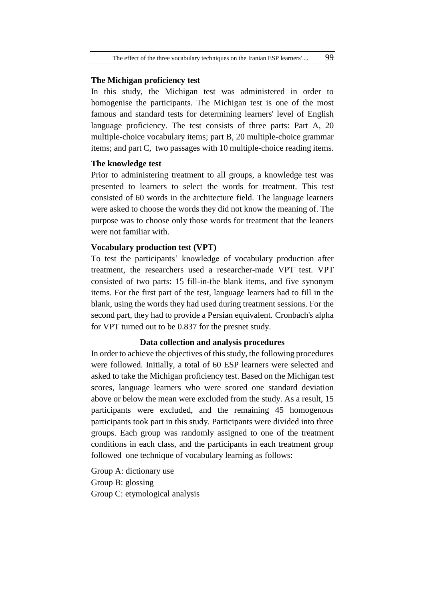#### **The Michigan proficiency test**

In this study, the Michigan test was administered in order to homogenise the participants. The Michigan test is one of the most famous and standard tests for determining learners' level of English language proficiency. The test consists of three parts: Part A, 20 multiple-choice vocabulary items; part B, 20 multiple-choice grammar items; and part C, two passages with 10 multiple-choice reading items.

#### **The knowledge test**

Prior to administering treatment to all groups, a knowledge test was presented to learners to select the words for treatment. This test consisted of 60 words in the architecture field. The language learners were asked to choose the words they did not know the meaning of. The purpose was to choose only those words for treatment that the leaners were not familiar with.

#### **Vocabulary production test (VPT)**

To test the participants' knowledge of vocabulary production after treatment, the researchers used a researcher-made VPT test. VPT consisted of two parts: 15 fill-in-the blank items, and five synonym items. For the first part of the test, language learners had to fill in the blank, using the words they had used during treatment sessions. For the second part, they had to provide a Persian equivalent. Cronbach's alpha for VPT turned out to be 0.837 for the presnet study.

#### **Data collection and analysis procedures**

In order to achieve the objectives of this study, the following procedures were followed. Initially, a total of 60 ESP learners were selected and asked to take the Michigan proficiency test. Based on the Michigan test scores, language learners who were scored one standard deviation above or below the mean were excluded from the study. As a result, 15 participants were excluded, and the remaining 45 homogenous participants took part in this study. Participants were divided into three groups. Each group was randomly assigned to one of the treatment conditions in each class, and the participants in each treatment group followed one technique of vocabulary learning as follows:

Group A: dictionary use Group B: glossing Group C: etymological analysis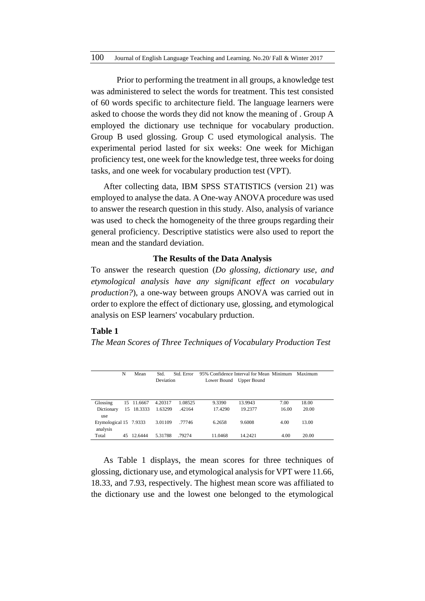Prior to performing the treatment in all groups, a knowledge test was administered to select the words for treatment. This test consisted of 60 words specific to architecture field. The language learners were asked to choose the words they did not know the meaning of . Group A employed the dictionary use technique for vocabulary production. Group B used glossing. Group C used etymological analysis. The experimental period lasted for six weeks: One week for Michigan proficiency test, one week for the knowledge test, three weeks for doing tasks, and one week for vocabulary production test (VPT).

After collecting data, IBM SPSS STATISTICS (version 21) was employed to analyse the data. A One-way ANOVA procedure was used to answer the research question in this study. Also, analysis of variance was used to check the homogeneity of the three groups regarding their general proficiency. Descriptive statistics were also used to report the mean and the standard deviation.

#### **The Results of the Data Analysis**

To answer the research question (*Do glossing, dictionary use, and etymological analysis have any significant effect on vocabulary production?*), a one-way between groups ANOVA was carried out in order to explore the effect of dictionary use, glossing, and etymological analysis on ESP learners' vocabulary prduction.

## **Table 1**

*The Mean Scores of Three Techniques of Vocabulary Production Test* 

|                        | N  | Mean       | Std.             | Std. Error | 95% Confidence Interval for Mean Minimum |         |       | Maximum |  |
|------------------------|----|------------|------------------|------------|------------------------------------------|---------|-------|---------|--|
|                        |    |            | <b>Deviation</b> |            | Lower Bound Upper Bound                  |         |       |         |  |
|                        |    |            |                  |            |                                          |         |       |         |  |
| Glossing               |    | 15 11.6667 | 4.20317          | 1.08525    | 9.3390                                   | 13.9943 | 7.00  | 18.00   |  |
| Dictionary             | 15 | 18.3333    | 1.63299          | .42164     | 17.4290                                  | 19.2377 | 16.00 | 20.00   |  |
| use                    |    |            |                  |            |                                          |         |       |         |  |
| Etymological 15 7.9333 |    |            | 3.01109          | .77746     | 6.2658                                   | 9.6008  | 4.00  | 13.00   |  |
| analysis               |    |            |                  |            |                                          |         |       |         |  |
| Total                  | 45 | 12.6444    | 5.31788          | .79274     | 11.0468                                  | 14.2421 | 4.00  | 20.00   |  |

As Table 1 displays, the mean scores for three techniques of glossing, dictionary use, and etymological analysis for VPT were 11.66, 18.33, and 7.93, respectively. The highest mean score was affiliated to the dictionary use and the lowest one belonged to the etymological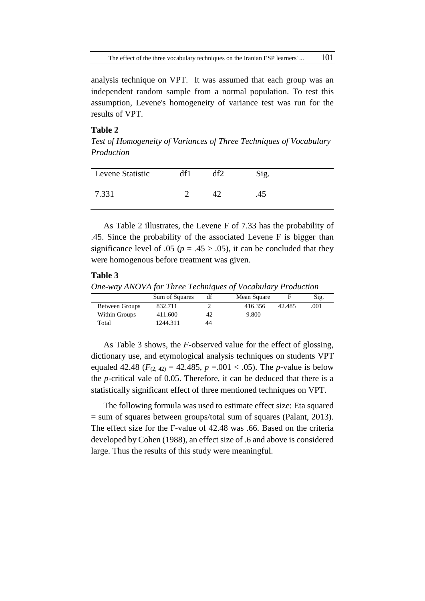analysis technique on VPT. It was assumed that each group was an independent random sample from a normal population. To test this assumption, Levene's homogeneity of variance test was run for the results of VPT.

#### **Table 2**

*Test of Homogeneity of Variances of Three Techniques of Vocabulary Production* 

| Levene Statistic |  | Sig. |  |
|------------------|--|------|--|
| 7.331            |  |      |  |

As Table 2 illustrates, the Levene F of 7.33 has the probability of .45. Since the probability of the associated Levene F is bigger than significance level of .05 ( $p = .45 > .05$ ), it can be concluded that they were homogenous before treatment was given.

## **Table 3**

*One-way ANOVA for Three Techniques of Vocabulary Production*

|                | Sig. |
|----------------|------|
| Between Groups | .001 |
| Within Groups  |      |
| Total          |      |
|                |      |

As Table 3 shows, the *F*-observed value for the effect of glossing, dictionary use, and etymological analysis techniques on students VPT equaled 42.48 ( $F_{(2, 42)} = 42.485$ ,  $p = .001 < .05$ ). The *p*-value is below the *p*-critical vale of 0.05. Therefore, it can be deduced that there is a statistically significant effect of three mentioned techniques on VPT.

The following formula was used to estimate effect size: Eta squared = sum of squares between groups/total sum of squares (Palant, 2013). The effect size for the F-value of 42.48 was .66. Based on the criteria developed by Cohen (1988), an effect size of .6 and above is considered large. Thus the results of this study were meaningful.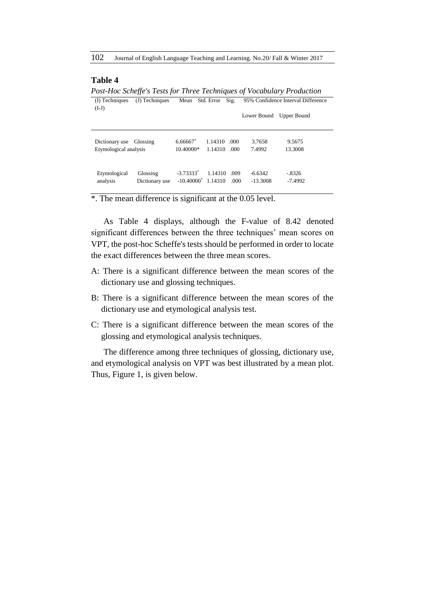102 Journal of English Language Teaching and Learning. No.20/ Fall & Winter 2017

#### **Table 4**

*Post-Hoc Scheffe's Tests for Three Techniques of Vocabulary Production* (I) Techniques (J) Techniques Mean Std. Error Sig. 95% Confidence Interval Difference (I-J) Lower Bound Upper Bound Dictionary use Glossing 6.66667<sup>\*</sup> 1.14310 .000 3.7658 9.5675 Etymological analysis 10.40000\* 1.14310 .000 7.4992 13.3008 Etymological Glossing -3.73333\* 1.14310 .009 -6.6342 -.8326 analysis Dictionary use -10.40000\* 1.14310 .000 -13.3008 -7.4992

\*. The mean difference is significant at the 0.05 level.

As Table 4 displays, although the F-value of 8.42 denoted significant differences between the three techniques' mean scores on VPT, the post-hoc Scheffe's tests should be performed in order to locate the exact differences between the three mean scores.

- A: There is a significant difference between the mean scores of the dictionary use and glossing techniques.
- B: There is a significant difference between the mean scores of the dictionary use and etymological analysis test.
- C: There is a significant difference between the mean scores of the glossing and etymological analysis techniques.

The difference among three techniques of glossing, dictionary use, and etymological analysis on VPT was best illustrated by a mean plot. Thus, Figure 1, is given below.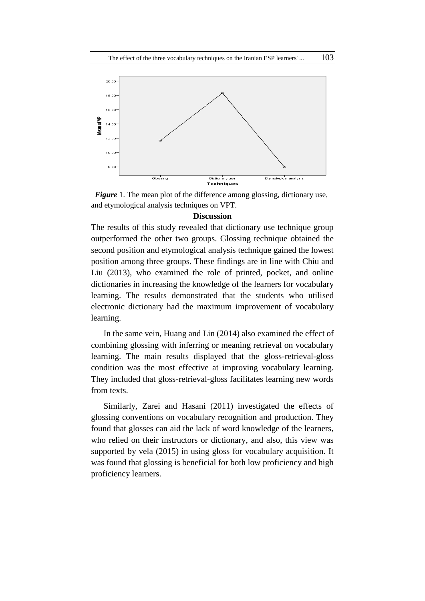

*Figure* 1. The mean plot of the difference among glossing, dictionary use, and etymological analysis techniques on VPT.

## **Discussion**

The results of this study revealed that dictionary use technique group outperformed the other two groups. Glossing technique obtained the second position and etymological analysis technique gained the lowest position among three groups. These findings are in line with Chiu and Liu (2013), who examined the role of printed, pocket, and online dictionaries in increasing the knowledge of the learners for vocabulary learning. The results demonstrated that the students who utilised electronic dictionary had the maximum improvement of vocabulary learning.

In the same vein, Huang and Lin (2014) also examined the effect of combining glossing with inferring or meaning retrieval on vocabulary learning. The main results displayed that the gloss-retrieval-gloss condition was the most effective at improving vocabulary learning. They included that gloss-retrieval-gloss facilitates learning new words from texts.

Similarly, Zarei and Hasani (2011) investigated the effects of glossing conventions on vocabulary recognition and production. They found that glosses can aid the lack of word knowledge of the learners, who relied on their instructors or dictionary, and also, this view was supported by vela (2015) in using gloss for vocabulary acquisition. It was found that glossing is beneficial for both low proficiency and high proficiency learners.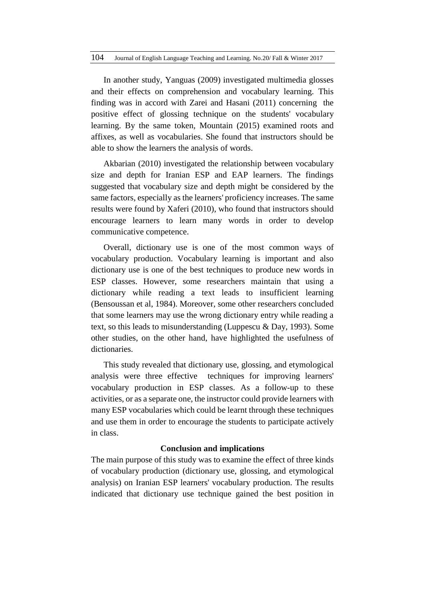In another study, Yanguas (2009) investigated multimedia glosses and their effects on comprehension and vocabulary learning. This finding was in accord with Zarei and Hasani (2011) concerning the positive effect of glossing technique on the students' vocabulary learning. By the same token, Mountain (2015) examined roots and affixes, as well as vocabularies. She found that instructors should be able to show the learners the analysis of words.

Akbarian (2010) investigated the relationship between vocabulary size and depth for Iranian ESP and EAP learners. The findings suggested that vocabulary size and depth might be considered by the same factors, especially as the learners' proficiency increases. The same results were found by Xaferi (2010), who found that instructors should encourage learners to learn many words in order to develop communicative competence.

Overall, dictionary use is one of the most common ways of vocabulary production. Vocabulary learning is important and also dictionary use is one of the best techniques to produce new words in ESP classes. However, some researchers maintain that using a dictionary while reading a text leads to insufficient learning (Bensoussan et al, 1984). Moreover, some other researchers concluded that some learners may use the wrong dictionary entry while reading a text, so this leads to misunderstanding (Luppescu & Day, 1993). Some other studies, on the other hand, have highlighted the usefulness of dictionaries.

This study revealed that dictionary use, glossing, and etymological analysis were three effective techniques for improving learners' vocabulary production in ESP classes. As a follow-up to these activities, or as a separate one, the instructor could provide learners with many ESP vocabularies which could be learnt through these techniques and use them in order to encourage the students to participate actively in class.

#### **Conclusion and implications**

The main purpose of this study was to examine the effect of three kinds of vocabulary production (dictionary use, glossing, and etymological analysis) on Iranian ESP learners' vocabulary production. The results indicated that dictionary use technique gained the best position in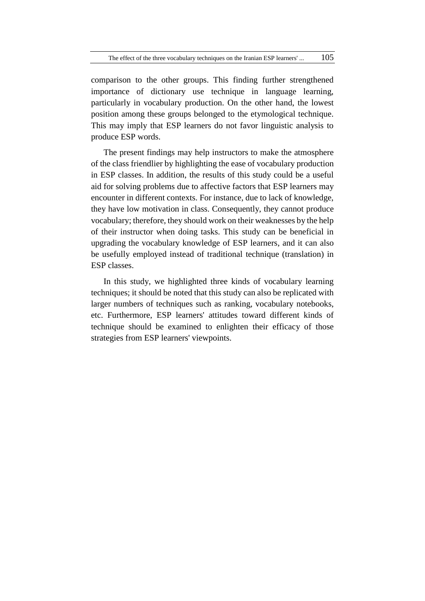comparison to the other groups. This finding further strengthened importance of dictionary use technique in language learning, particularly in vocabulary production. On the other hand, the lowest position among these groups belonged to the etymological technique. This may imply that ESP learners do not favor linguistic analysis to produce ESP words.

The present findings may help instructors to make the atmosphere of the class friendlier by highlighting the ease of vocabulary production in ESP classes. In addition, the results of this study could be a useful aid for solving problems due to affective factors that ESP learners may encounter in different contexts. For instance, due to lack of knowledge, they have low motivation in class. Consequently, they cannot produce vocabulary; therefore, they should work on their weaknesses by the help of their instructor when doing tasks. This study can be beneficial in upgrading the vocabulary knowledge of ESP learners, and it can also be usefully employed instead of traditional technique (translation) in ESP classes.

In this study, we highlighted three kinds of vocabulary learning techniques; it should be noted that this study can also be replicated with larger numbers of techniques such as ranking, vocabulary notebooks, etc. Furthermore, ESP learners' attitudes toward different kinds of technique should be examined to enlighten their efficacy of those strategies from ESP learners' viewpoints.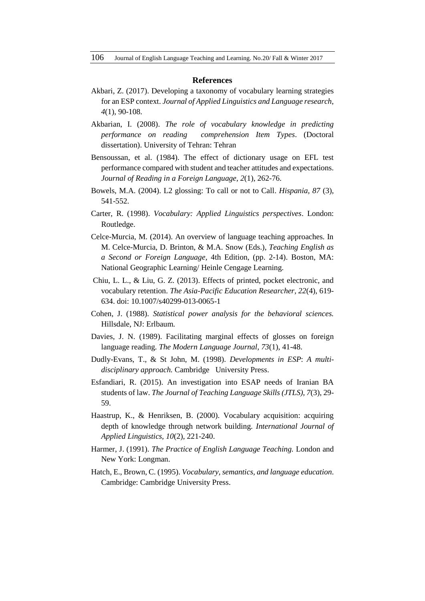#### **References**

- Akbari, Z. (2017). Developing a taxonomy of vocabulary learning strategies for an ESP context. *Journal of Applied Linguistics and Language research*, *4*(1), 90-108.
- Akbarian, I. (2008). *The role of vocabulary knowledge in predicting performance on reading comprehension Item Types*. (Doctoral dissertation). University of Tehran: Tehran
- Bensoussan, et al. (1984). The effect of dictionary usage on EFL test performance compared with student and teacher attitudes and expectations. *Journal of Reading in a Foreign Language, 2*(1)*,* 262-76.
- Bowels, M.A. (2004). L2 glossing: To call or not to Call. *Hispania, 87* (3), 541-552.
- Carter, R. (1998). *Vocabulary: Applied Linguistics perspectives*. London: Routledge.
- Celce-Murcia, M. (2014). An overview of language teaching approaches. In M. Celce-Murcia, D. Brinton, & M.A. Snow (Eds.), *Teaching English as a Second or Foreign Language,* 4th Edition, (pp. 2-14). Boston, MA: National Geographic Learning/ Heinle Cengage Learning.
- Chiu, L. L., & Liu, G. Z. (2013). Effects of printed, pocket electronic, and vocabulary retention. *The Asia-Pacific Education Researcher, 22*(4), 619- 634. doi: 10.1007/s40299-013-0065-1
- Cohen, J. (1988). *Statistical power analysis for the behavioral sciences.* Hillsdale, NJ: Erlbaum.
- Davies, J. N. (1989). Facilitating marginal effects of glosses on foreign language reading. *The Modern Language Journal, 73*(1), 41-48.
- Dudly-Evans, T., & St John, M. (1998). *Developments in ESP*: *A multidisciplinary approach.* Cambridge University Press.
- Esfandiari, R. (2015). An investigation into ESAP needs of Iranian BA students of law. *The Journal of Teaching Language Skills (JTLS), 7*(3), 29- 59.
- Haastrup, K., & Henriksen, B. (2000). Vocabulary acquisition: acquiring depth of knowledge through network building. *International Journal of Applied Linguistics, 10*(2), 221-240.
- Harmer, J. (1991). *The Practice of English Language Teaching.* London and New York: Longman.
- Hatch, E., Brown, C. (1995). *Vocabulary, semantics, and language education*. Cambridge: Cambridge University Press.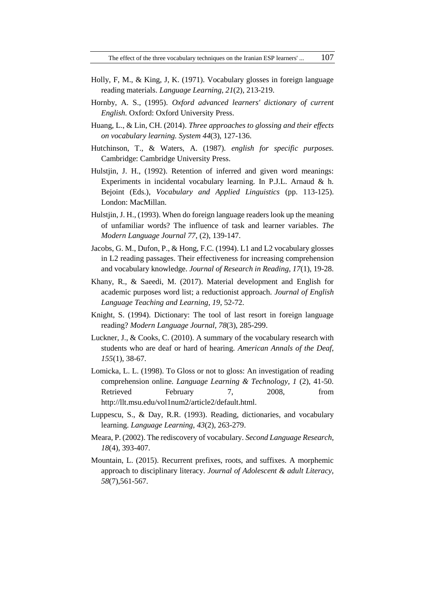- Holly, F, M., & King, J, K. (1971). Vocabulary glosses in foreign language reading materials. *Language Learning, 21*(2), 213-219.
- Hornby, A. S., (1995). *Oxford advanced learners' dictionary of current English.* Oxford: Oxford University Press.
- Huang, L., & Lin, CH. (2014). *Three approaches to glossing and their effects on vocabulary learning. System 44*(3), 127-136.
- Hutchinson, T., & Waters, A. (1987). *english for specific purposes.* Cambridge: Cambridge University Press.
- Hulstjin, J. H., (1992). Retention of inferred and given word meanings: Experiments in incidental vocabulary learning. In P.J.L. Arnaud & h. Bejoint (Eds.), *Vocabulary and Applied Linguistics* (pp. 113-125). London: MacMillan.
- Hulstjin, J. H., (1993). When do foreign language readers look up the meaning of unfamiliar words? The influence of task and learner variables. *The Modern Language Journal 77*, (2), 139-147.
- Jacobs, G. M., Dufon, P., & Hong, F.C. (1994). L1 and L2 vocabulary glosses in L2 reading passages. Their effectiveness for increasing comprehension and vocabulary knowledge. *Journal of Research in Reading, 17*(1), 19-28.
- Khany, R., & Saeedi, M. (2017). Material development and English for academic purposes word list; a reductionist approach. *Journal of English Language Teaching and Learning, 19,* 52-72.
- Knight, S. (1994). Dictionary: The tool of last resort in foreign language reading? *Modern Language Journal, 78*(3), 285-299.
- Luckner, J., & Cooks, C. (2010). A summary of the vocabulary research with students who are deaf or hard of hearing. *American Annals of the Deaf, 155*(1), 38-67.
- Lomicka, L. L. (1998). To Gloss or not to gloss: An investigation of reading comprehension online. *Language Learning & Technology, 1* (2), 41-50. Retrieved February 7, 2008, from http://llt.msu.edu/vol1num2/article2/default.html.
- Luppescu, S., & Day, R.R. (1993). Reading, dictionaries, and vocabulary learning. *Language Learning, 43*(2)*,* 263-279.
- Meara, P. (2002). The rediscovery of vocabulary. *Second Language Research, 18*(4), 393-407.
- Mountain, L. (2015). Recurrent prefixes, roots, and suffixes. A morphemic approach to disciplinary literacy. *Journal of Adolescent & adult Literacy, 58*(7),561-567.